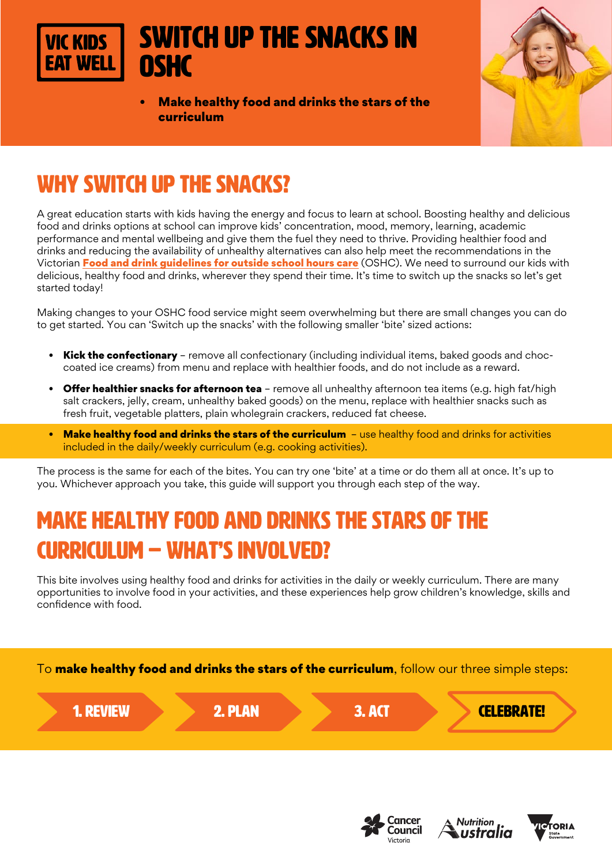

# Switch up the snacks in **OSHC**

• Make healthy food and drinks the stars of the curriculum



# WHY SWITCH UP THE SNACKS?

A great education starts with kids having the energy and focus to learn at school. Boosting healthy and delicious food and drinks options at school can improve kids' concentration, mood, memory, learning, academic performance and mental wellbeing and give them the fuel they need to thrive. Providing healthier food and drinks and reducing the availability of unhealthy alternatives can also help meet the recommendations in the Victorian [Food and drink guidelines for outside school hours care](https://heas.health.vic.gov.au/early-childhood-services/menu-planning/OSHC/guidelines) (OSHC). We need to surround our kids with delicious, healthy food and drinks, wherever they spend their time. It's time to switch up the snacks so let's get started today!

Making changes to your OSHC food service might seem overwhelming but there are small changes you can do to get started. You can 'Switch up the snacks' with the following smaller 'bite' sized actions:

- Kick the confectionary remove all confectionary (including individual items, baked goods and choccoated ice creams) from menu and replace with healthier foods, and do not include as a reward.
- Offer healthier snacks for afternoon tea remove all unhealthy afternoon tea items (e.g. high fat/high salt crackers, jelly, cream, unhealthy baked goods) on the menu, replace with healthier snacks such as fresh fruit, vegetable platters, plain wholegrain crackers, reduced fat cheese.
- Make healthy food and drinks the stars of the curriculum use healthy food and drinks for activities included in the daily/weekly curriculum (e.g. cooking activities).

The process is the same for each of the bites. You can try one 'bite' at a time or do them all at once. It's up to you. Whichever approach you take, this guide will support you through each step of the way.

# MAKE HEALTHY FOOD AND DRINKS THE STARS OF THE CURRICULUM – WHAT'S INVOLVED?

This bite involves using healthy food and drinks for activities in the daily or weekly curriculum. There are many opportunities to involve food in your activities, and these experiences help grow children's knowledge, skills and confidence with food.







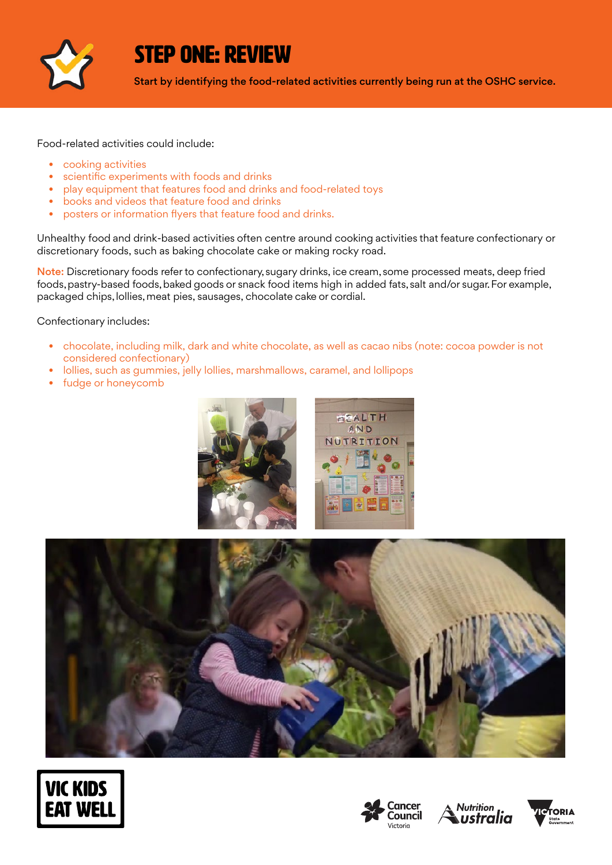

### STEP ONE: REVIEW

Start by identifying the food-related activities currently being run at the OSHC service.

Food-related activities could include:

- cooking activities
- scientific experiments with foods and drinks
- play equipment that features food and drinks and food-related toys
- books and videos that feature food and drinks
- posters or information flyers that feature food and drinks.

Unhealthy food and drink-based activities often centre around cooking activities that feature confectionary or discretionary foods, such as baking chocolate cake or making rocky road.  

Note: Discretionary foods refer to confectionary, sugary drinks, ice cream, some processed meats, deep fried foods, pastry-based foods, baked goods or snack food items high in added fats, salt and/or sugar. For example, packaged chips, lollies, meat pies, sausages, chocolate cake or cordial.  

Confectionary includes:

- chocolate, including milk, dark and white chocolate, as well as cacao nibs (note: cocoa powder is not considered confectionary)
- lollies, such as gummies, jelly lollies, marshmallows, caramel, and lollipops
- fudge or honeycomb











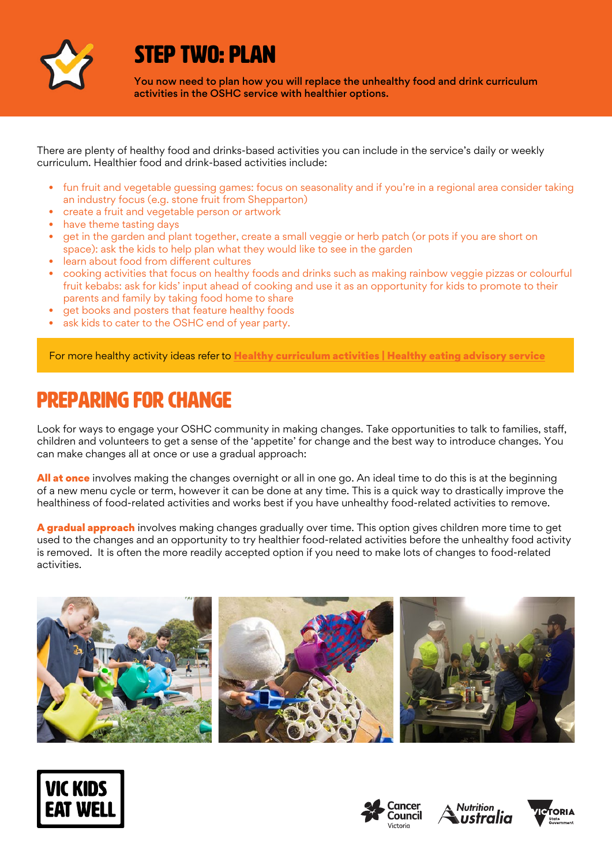

## STEP TWO: PLAN

You now need to plan how you will replace the unhealthy food and drink curriculum activities in the OSHC service with healthier options.

There are plenty of healthy food and drinks-based activities you can include in the service's daily or weekly curriculum. Healthier food and drink-based activities include:

- fun fruit and vegetable guessing games: focus on seasonality and if you're in a regional area consider taking an industry focus (e.g. stone fruit from Shepparton)
- create a fruit and vegetable person or artwork
- have theme tasting days
- get in the garden and plant together, create a small veggie or herb patch (or pots if you are short on space): ask the kids to help plan what they would like to see in the garden
- learn about food from different cultures
- cooking activities that focus on healthy foods and drinks such as making rainbow veggie pizzas or colourful fruit kebabs: ask for kids' input ahead of cooking and use it as an opportunity for kids to promote to their parents and family by taking food home to share
- get books and posters that feature healthy foods
- ask kids to cater to the OSHC end of year party.

For more healthy activity ideas refer to [Healthy curriculum activities | Healthy eating advisory service](https://heas.health.vic.gov.au/early-childhood-services/curriculum-activities)

### Preparing for change

Look for ways to engage your OSHC community in making changes. Take opportunities to talk to families, staff, children and volunteers to get a sense of the 'appetite' for change and the best way to introduce changes. You can make changes all at once or use a gradual approach:

All at once involves making the changes overnight or all in one go. An ideal time to do this is at the beginning of a new menu cycle or term, however it can be done at any time. This is a quick way to drastically improve the healthiness of food-related activities and works best if you have unhealthy food-related activities to remove.

A gradual approach involves making changes gradually over time. This option gives children more time to get used to the changes and an opportunity to try healthier food-related activities before the unhealthy food activity is removed. It is often the more readily accepted option if you need to make lots of changes to food-related activities.









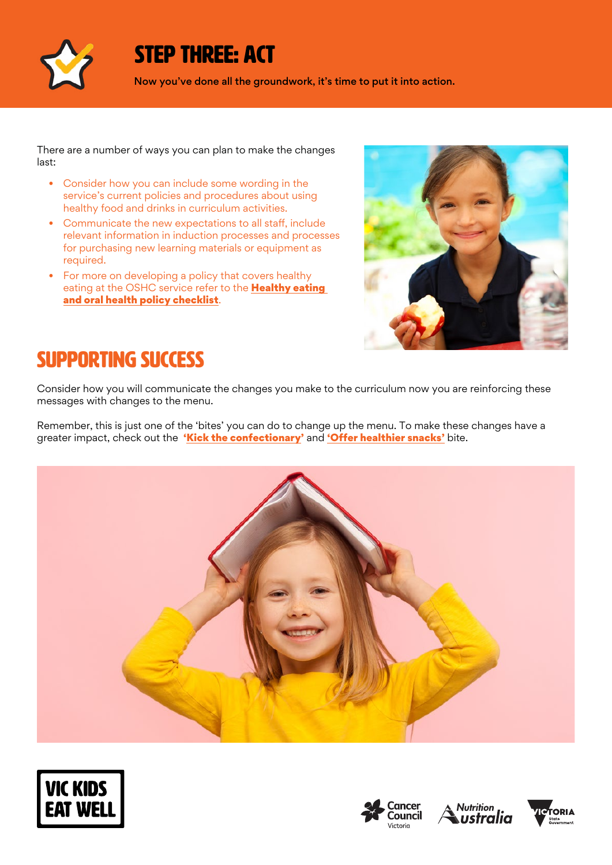

## STEP THREE: ACT

Now you've done all the groundwork, it's time to put it into action.

There are a number of ways you can plan to make the changes last:

- Consider how you can include some wording in the service's current policies and procedures about using healthy food and drinks in curriculum activities.
- Communicate the new expectations to all staff, include relevant information in induction processes and processes for purchasing new learning materials or equipment as required.
- For more on developing a policy that covers healthy eating at the OSHC service refer to the Healthy eating [and oral health policy checklist](http://heas.health.vic.gov.au/early-childhood-services/policy/checklist).



## SUPPORTING SUCCESS

Consider how you will communicate the changes you make to the curriculum now you are reinforcing these messages with changes to the menu.

Remember, this is just one of the 'bites' you can do to change up the menu. To make these changes have a greater impact, check out the '[Kick the confectionary'](https://www.vickidseatwell.health.vic.gov.au/resources) and ['Offer healthier snacks'](https://www.vickidseatwell.health.vic.gov.au/resources) bite.